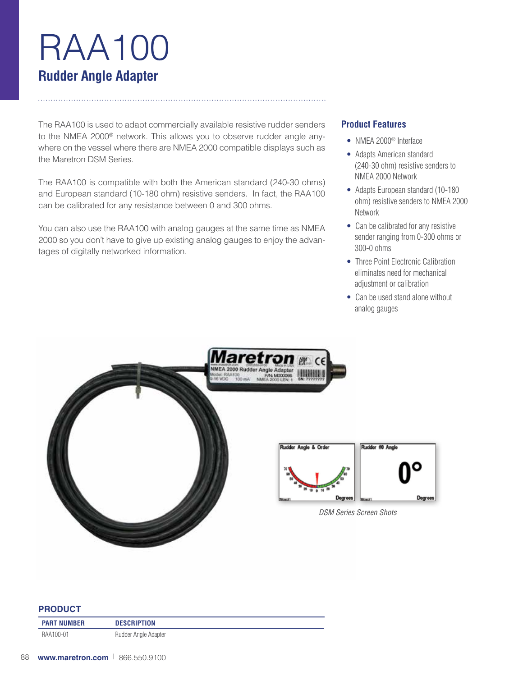# RAA100 **Rudder Angle Adapter**

The RAA100 is used to adapt commercially available resistive rudder senders to the NMEA 2000<sup>®</sup> network. This allows you to observe rudder angle anywhere on the vessel where there are NMEA 2000 compatible displays such as the Maretron DSM Series.

The RAA100 is compatible with both the American standard (240-30 ohms) and European standard (10-180 ohm) resistive senders. In fact, the RAA100 can be calibrated for any resistance between 0 and 300 ohms.

You can also use the RAA100 with analog gauges at the same time as NMEA 2000 so you don't have to give up existing analog gauges to enjoy the advantages of digitally networked information.

## **Product Features**

- NMEA 2000<sup>®</sup> Interface
- Adapts American standard (240-30 ohm) resistive senders to NMEA 2000 Network
- Adapts European standard (10-180) ohm) resistive senders to NMEA 2000 Network
- Can be calibrated for any resistive sender ranging from 0-300 ohms or 300-0 ohms
- Three Point Electronic Calibration eliminates need for mechanical adjustment or calibration
- Can be used stand alone without analog gauges



#### **PRODUCT**

| <b>PART NUMBER</b> | <b>DESCRIPTION</b>   |
|--------------------|----------------------|
| RAA100-01          | Rudder Angle Adapter |